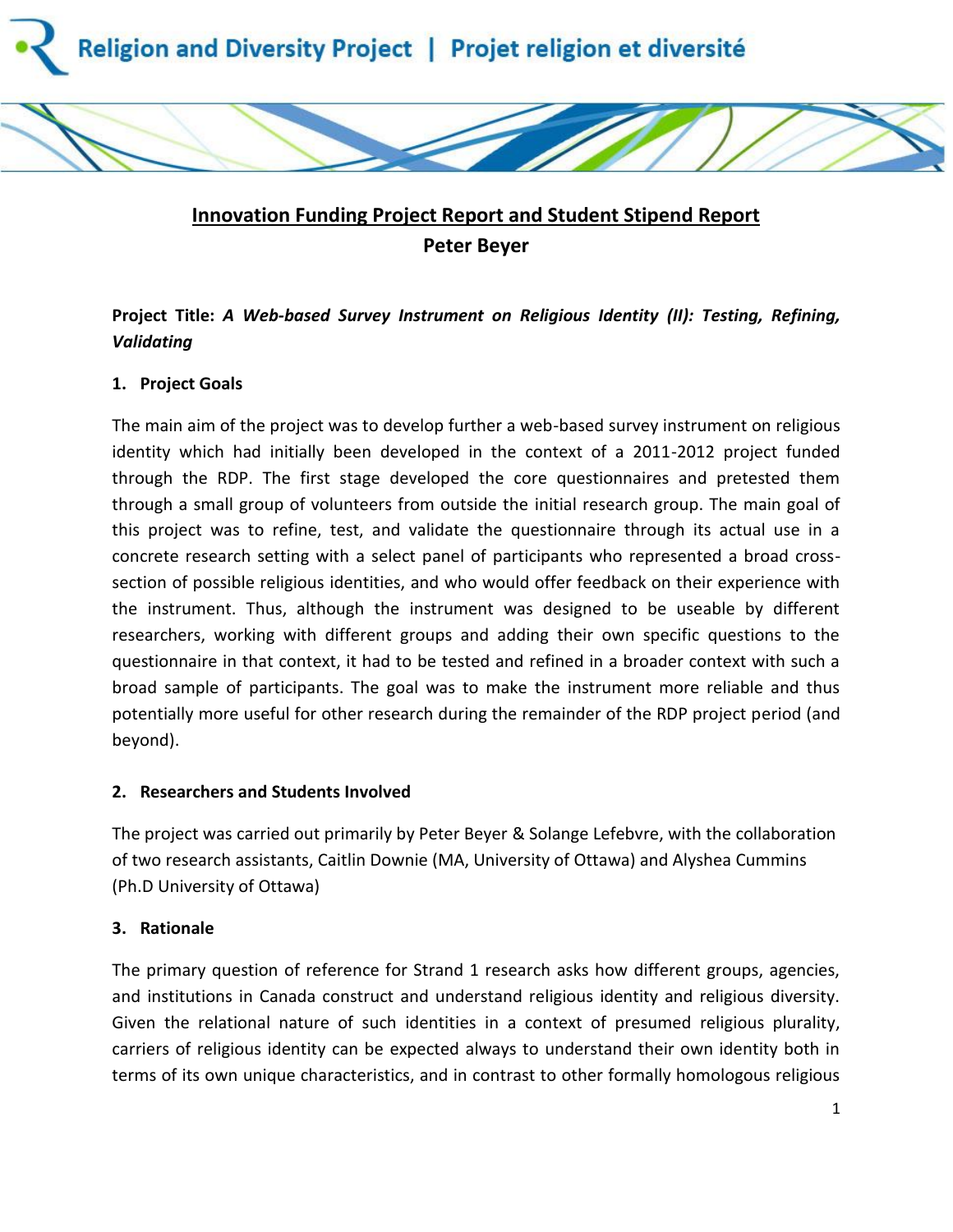

# **Innovation Funding Project Report and Student Stipend Report Peter Beyer**

# **Project Title:** *A Web-based Survey Instrument on Religious Identity (II): Testing, Refining, Validating*

# **1. Project Goals**

The main aim of the project was to develop further a web-based survey instrument on religious identity which had initially been developed in the context of a 2011-2012 project funded through the RDP. The first stage developed the core questionnaires and pretested them through a small group of volunteers from outside the initial research group. The main goal of this project was to refine, test, and validate the questionnaire through its actual use in a concrete research setting with a select panel of participants who represented a broad crosssection of possible religious identities, and who would offer feedback on their experience with the instrument. Thus, although the instrument was designed to be useable by different researchers, working with different groups and adding their own specific questions to the questionnaire in that context, it had to be tested and refined in a broader context with such a broad sample of participants. The goal was to make the instrument more reliable and thus potentially more useful for other research during the remainder of the RDP project period (and beyond).

# **2. Researchers and Students Involved**

The project was carried out primarily by Peter Beyer & Solange Lefebvre, with the collaboration of two research assistants, Caitlin Downie (MA, University of Ottawa) and Alyshea Cummins (Ph.D University of Ottawa)

# **3. Rationale**

The primary question of reference for Strand 1 research asks how different groups, agencies, and institutions in Canada construct and understand religious identity and religious diversity. Given the relational nature of such identities in a context of presumed religious plurality, carriers of religious identity can be expected always to understand their own identity both in terms of its own unique characteristics, and in contrast to other formally homologous religious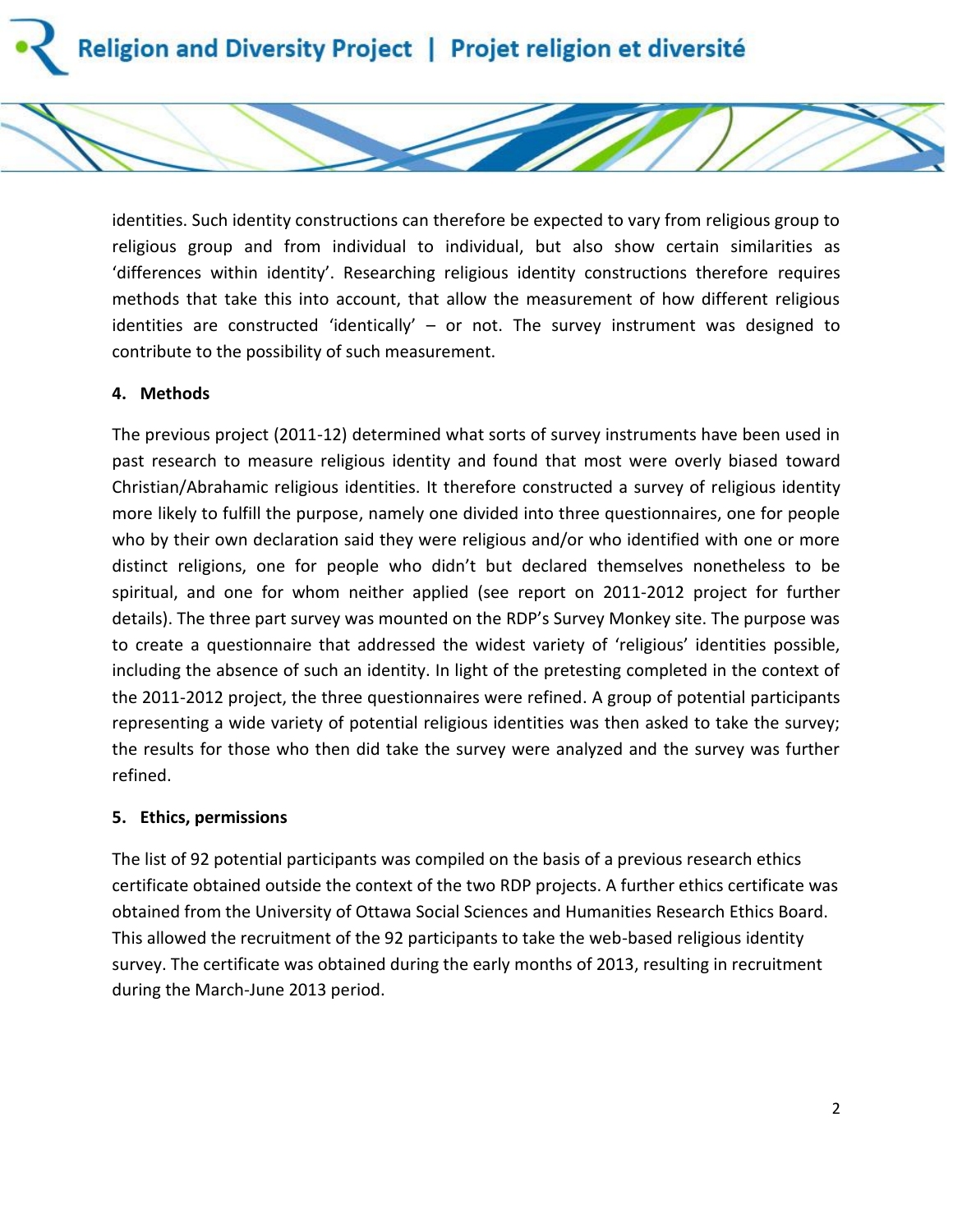

identities. Such identity constructions can therefore be expected to vary from religious group to religious group and from individual to individual, but also show certain similarities as 'differences within identity'. Researching religious identity constructions therefore requires methods that take this into account, that allow the measurement of how different religious identities are constructed 'identically' - or not. The survey instrument was designed to contribute to the possibility of such measurement.

#### **4. Methods**

The previous project (2011-12) determined what sorts of survey instruments have been used in past research to measure religious identity and found that most were overly biased toward Christian/Abrahamic religious identities. It therefore constructed a survey of religious identity more likely to fulfill the purpose, namely one divided into three questionnaires, one for people who by their own declaration said they were religious and/or who identified with one or more distinct religions, one for people who didn't but declared themselves nonetheless to be spiritual, and one for whom neither applied (see report on 2011-2012 project for further details). The three part survey was mounted on the RDP's Survey Monkey site. The purpose was to create a questionnaire that addressed the widest variety of 'religious' identities possible, including the absence of such an identity. In light of the pretesting completed in the context of the 2011-2012 project, the three questionnaires were refined. A group of potential participants representing a wide variety of potential religious identities was then asked to take the survey; the results for those who then did take the survey were analyzed and the survey was further refined.

#### **5. Ethics, permissions**

The list of 92 potential participants was compiled on the basis of a previous research ethics certificate obtained outside the context of the two RDP projects. A further ethics certificate was obtained from the University of Ottawa Social Sciences and Humanities Research Ethics Board. This allowed the recruitment of the 92 participants to take the web-based religious identity survey. The certificate was obtained during the early months of 2013, resulting in recruitment during the March-June 2013 period.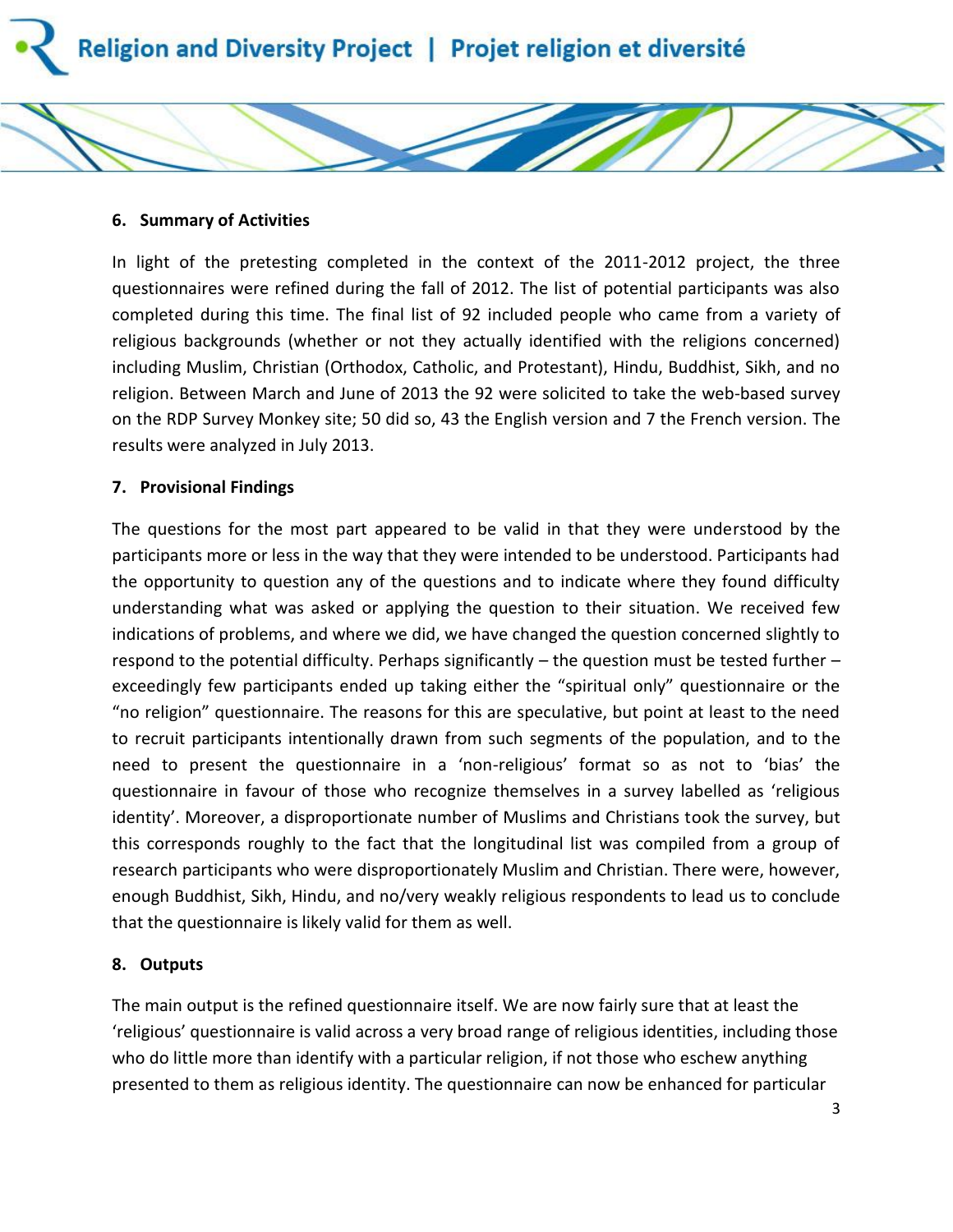#### **6. Summary of Activities**

In light of the pretesting completed in the context of the 2011-2012 project, the three questionnaires were refined during the fall of 2012. The list of potential participants was also completed during this time. The final list of 92 included people who came from a variety of religious backgrounds (whether or not they actually identified with the religions concerned) including Muslim, Christian (Orthodox, Catholic, and Protestant), Hindu, Buddhist, Sikh, and no religion. Between March and June of 2013 the 92 were solicited to take the web-based survey on the RDP Survey Monkey site; 50 did so, 43 the English version and 7 the French version. The results were analyzed in July 2013.

#### **7. Provisional Findings**

The questions for the most part appeared to be valid in that they were understood by the participants more or less in the way that they were intended to be understood. Participants had the opportunity to question any of the questions and to indicate where they found difficulty understanding what was asked or applying the question to their situation. We received few indications of problems, and where we did, we have changed the question concerned slightly to respond to the potential difficulty. Perhaps significantly – the question must be tested further – exceedingly few participants ended up taking either the "spiritual only" questionnaire or the "no religion" questionnaire. The reasons for this are speculative, but point at least to the need to recruit participants intentionally drawn from such segments of the population, and to the need to present the questionnaire in a 'non-religious' format so as not to 'bias' the questionnaire in favour of those who recognize themselves in a survey labelled as 'religious identity'. Moreover, a disproportionate number of Muslims and Christians took the survey, but this corresponds roughly to the fact that the longitudinal list was compiled from a group of research participants who were disproportionately Muslim and Christian. There were, however, enough Buddhist, Sikh, Hindu, and no/very weakly religious respondents to lead us to conclude that the questionnaire is likely valid for them as well.

#### **8. Outputs**

The main output is the refined questionnaire itself. We are now fairly sure that at least the 'religious' questionnaire is valid across a very broad range of religious identities, including those who do little more than identify with a particular religion, if not those who eschew anything presented to them as religious identity. The questionnaire can now be enhanced for particular